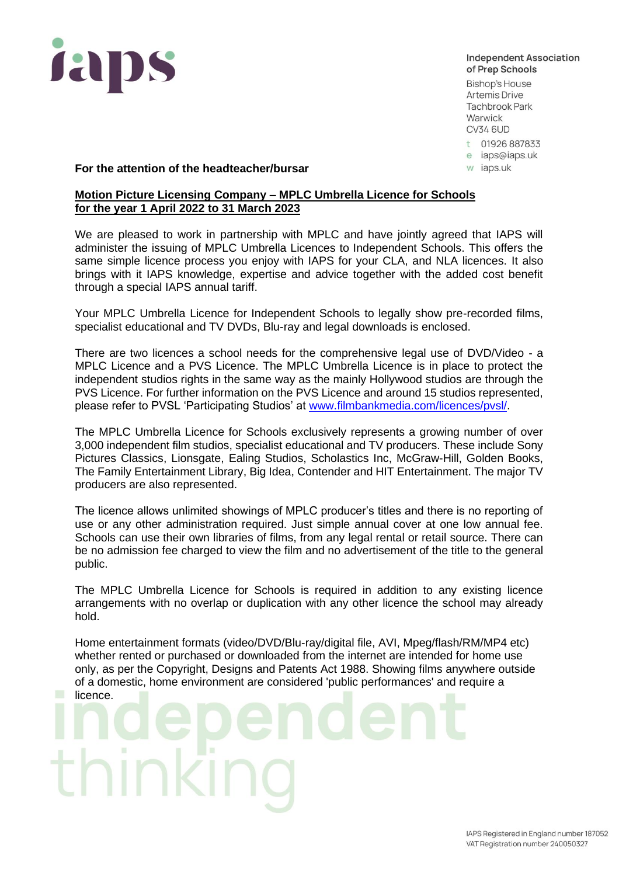

**Independent Association** of Prep Schools

**Bishop's House Artemis Drive Tachbrook Park** Warwick **CV34 6UD** 

t 01926 887833

e iaps@iaps.uk

w iaps.uk

## **For the attention of the headteacher/bursar**

## **Motion Picture Licensing Company – MPLC Umbrella Licence for Schools for the year 1 April 2022 to 31 March 2023**

We are pleased to work in partnership with MPLC and have jointly agreed that IAPS will administer the issuing of MPLC Umbrella Licences to Independent Schools. This offers the same simple licence process you enjoy with IAPS for your CLA, and NLA licences. It also brings with it IAPS knowledge, expertise and advice together with the added cost benefit through a special IAPS annual tariff.

Your MPLC Umbrella Licence for Independent Schools to legally show pre-recorded films, specialist educational and TV DVDs, Blu-ray and legal downloads is enclosed.

There are two licences a school needs for the comprehensive legal use of DVD/Video - a MPLC Licence and a PVS Licence. The MPLC Umbrella Licence is in place to protect the independent studios rights in the same way as the mainly Hollywood studios are through the PVS Licence. For further information on the PVS Licence and around 15 studios represented, please refer to PVSL 'Participating Studios' at [www.filmbankmedia.com](http://www.filmbank.co.uk/)/licences/pvsl/.

The MPLC Umbrella Licence for Schools exclusively represents a growing number of over 3,000 independent film studios, specialist educational and TV producers. These include Sony Pictures Classics, Lionsgate, Ealing Studios, Scholastics Inc, McGraw-Hill, Golden Books, The Family Entertainment Library, Big Idea, Contender and HIT Entertainment. The major TV producers are also represented.

The licence allows unlimited showings of MPLC producer's titles and there is no reporting of use or any other administration required. Just simple annual cover at one low annual fee. Schools can use their own libraries of films, from any legal rental or retail source. There can be no admission fee charged to view the film and no advertisement of the title to the general public.

The MPLC Umbrella Licence for Schools is required in addition to any existing licence arrangements with no overlap or duplication with any other licence the school may already hold.

Home entertainment formats (video/DVD/Blu-ray/digital file, AVI, Mpeg/flash/RM/MP4 etc) whether rented or purchased or downloaded from the internet are intended for home use only, as per the Copyright, Designs and Patents Act 1988. Showing films anywhere outside of a domestic, home environment are considered 'public performances' and require a licence.